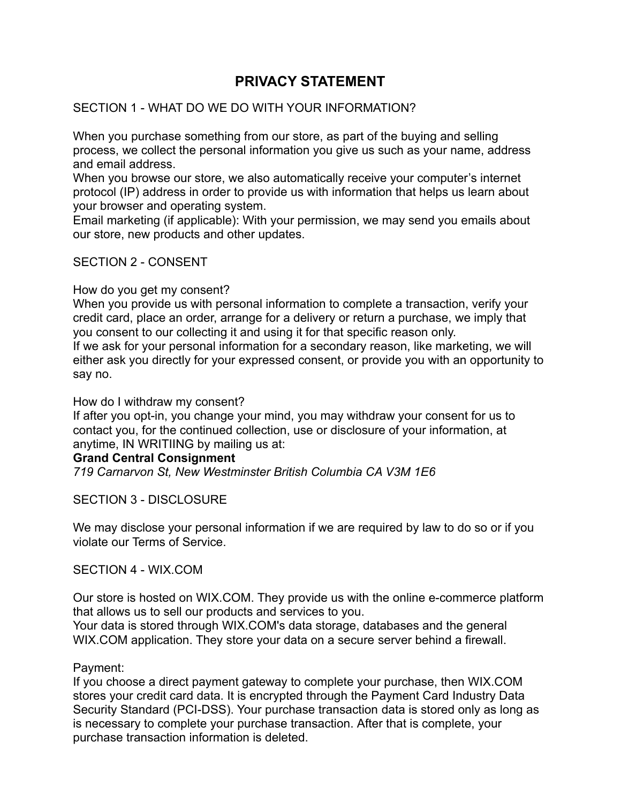# **PRIVACY STATEMENT**

## SECTION 1 - WHAT DO WE DO WITH YOUR INFORMATION?

When you purchase something from our store, as part of the buying and selling process, we collect the personal information you give us such as your name, address and email address.

When you browse our store, we also automatically receive your computer's internet protocol (IP) address in order to provide us with information that helps us learn about your browser and operating system.

Email marketing (if applicable): With your permission, we may send you emails about our store, new products and other updates.

### SECTION 2 - CONSENT

#### How do you get my consent?

When you provide us with personal information to complete a transaction, verify your credit card, place an order, arrange for a delivery or return a purchase, we imply that you consent to our collecting it and using it for that specific reason only.

If we ask for your personal information for a secondary reason, like marketing, we will either ask you directly for your expressed consent, or provide you with an opportunity to say no.

#### How do I withdraw my consent?

If after you opt-in, you change your mind, you may withdraw your consent for us to contact you, for the continued collection, use or disclosure of your information, at anytime, IN WRITIING by mailing us at:

#### **Grand Central Consignment**

*719 Carnarvon St, New Westminster British Columbia CA V3M 1E6*

### SECTION 3 - DISCLOSURE

We may disclose your personal information if we are required by law to do so or if you violate our Terms of Service.

#### SECTION 4 - WIX.COM

Our store is hosted on WIX.COM. They provide us with the online e-commerce platform that allows us to sell our products and services to you.

Your data is stored through WIX.COM's data storage, databases and the general WIX.COM application. They store your data on a secure server behind a firewall.

#### Payment:

If you choose a direct payment gateway to complete your purchase, then WIX.COM stores your credit card data. It is encrypted through the Payment Card Industry Data Security Standard (PCI-DSS). Your purchase transaction data is stored only as long as is necessary to complete your purchase transaction. After that is complete, your purchase transaction information is deleted.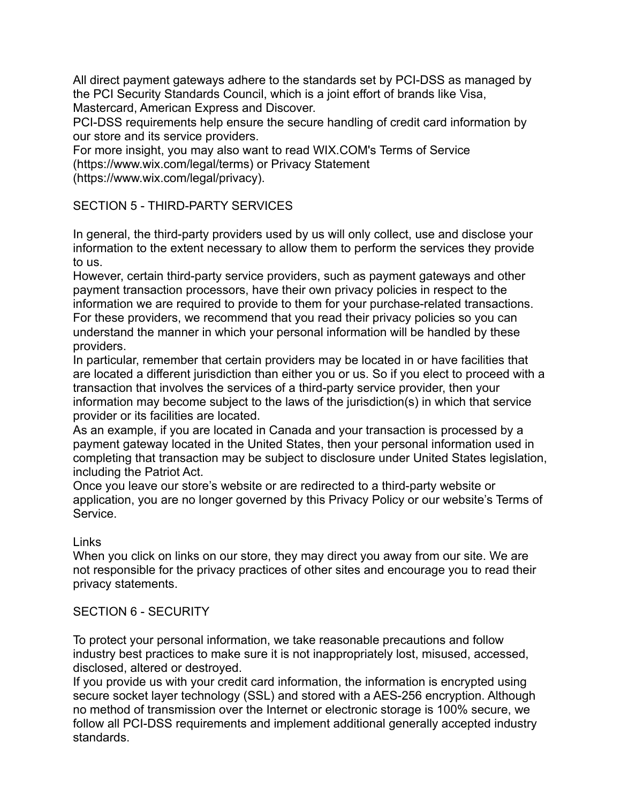All direct payment gateways adhere to the standards set by PCI-DSS as managed by the PCI Security Standards Council, which is a joint effort of brands like Visa, Mastercard, American Express and Discover.

PCI-DSS requirements help ensure the secure handling of credit card information by our store and its service providers.

For more insight, you may also want to read WIX.COM's Terms of Service (https://www.wix.com/legal/terms) or Privacy Statement

(https://www.wix.com/legal/privacy).

## SECTION 5 - THIRD-PARTY SERVICES

In general, the third-party providers used by us will only collect, use and disclose your information to the extent necessary to allow them to perform the services they provide to us.

However, certain third-party service providers, such as payment gateways and other payment transaction processors, have their own privacy policies in respect to the information we are required to provide to them for your purchase-related transactions. For these providers, we recommend that you read their privacy policies so you can understand the manner in which your personal information will be handled by these providers.

In particular, remember that certain providers may be located in or have facilities that are located a different jurisdiction than either you or us. So if you elect to proceed with a transaction that involves the services of a third-party service provider, then your information may become subject to the laws of the jurisdiction(s) in which that service provider or its facilities are located.

As an example, if you are located in Canada and your transaction is processed by a payment gateway located in the United States, then your personal information used in completing that transaction may be subject to disclosure under United States legislation, including the Patriot Act.

Once you leave our store's website or are redirected to a third-party website or application, you are no longer governed by this Privacy Policy or our website's Terms of Service.

Links

When you click on links on our store, they may direct you away from our site. We are not responsible for the privacy practices of other sites and encourage you to read their privacy statements.

## SECTION 6 - SECURITY

To protect your personal information, we take reasonable precautions and follow industry best practices to make sure it is not inappropriately lost, misused, accessed, disclosed, altered or destroyed.

If you provide us with your credit card information, the information is encrypted using secure socket layer technology (SSL) and stored with a AES-256 encryption. Although no method of transmission over the Internet or electronic storage is 100% secure, we follow all PCI-DSS requirements and implement additional generally accepted industry standards.